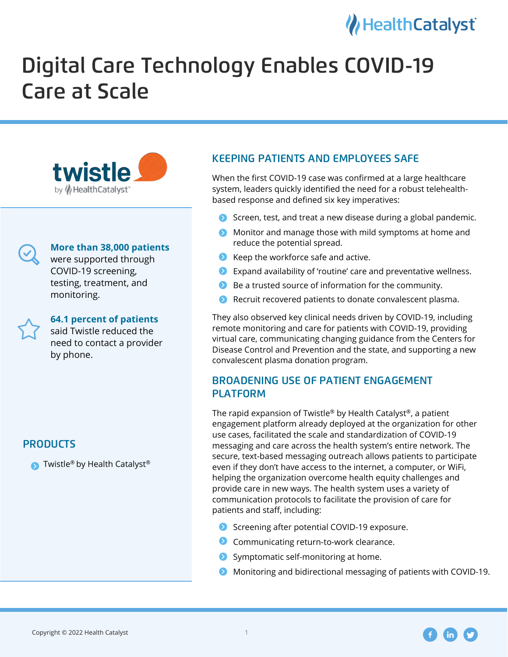### Health Catalyst

# Digital Care Technology Enables COVID-19 Care at Scale





### **More than 38,000 patients**

were supported through COVID-19 screening, testing, treatment, and monitoring.

### **64.1 percent of patients**

said Twistle reduced the need to contact a provider by phone.

### **PRODUCTS**

**•** Twistle® by Health Catalyst®

### KEEPING PATIENTS AND EMPLOYEES SAFE

When the first COVID-19 case was confirmed at a large healthcare system, leaders quickly identified the need for a robust telehealthbased response and defined six key imperatives:

- **•** Screen, test, and treat a new disease during a global pandemic.
- Monitor and manage those with mild symptoms at home and reduce the potential spread.
- **•** Keep the workforce safe and active.
- $\bullet$  Expand availability of 'routine' care and preventative wellness.
- $\bullet$  Be a trusted source of information for the community.
- **•** Recruit recovered patients to donate convalescent plasma.

They also observed key clinical needs driven by COVID-19, including remote monitoring and care for patients with COVID-19, providing virtual care, communicating changing guidance from the Centers for Disease Control and Prevention and the state, and supporting a new convalescent plasma donation program.

## BROADENING USE OF PATIENT ENGAGEMENT PLATFORM

The rapid expansion of Twistle® by Health Catalyst®, a patient engagement platform already deployed at the organization for other use cases, facilitated the scale and standardization of COVID-19 messaging and care across the health system's entire network. The secure, text-based messaging outreach allows patients to participate even if they don't have access to the internet, a computer, or WiFi, helping the organization overcome health equity challenges and provide care in new ways. The health system uses a variety of communication protocols to facilitate the provision of care for patients and staff, including:

- **•** Screening after potential COVID-19 exposure.
- **•** Communicating return-to-work clearance.
- **•** Symptomatic self-monitoring at home.
- Monitoring and bidirectional messaging of patients with COVID-19.